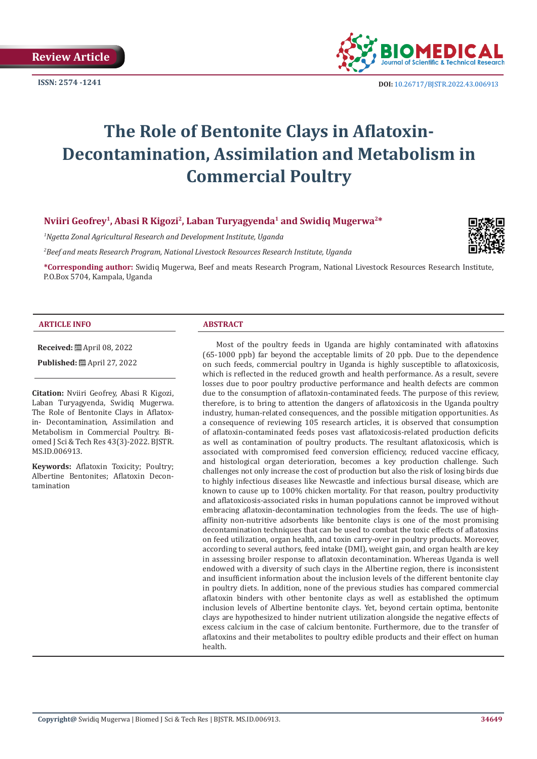**Review Article**



# **The Role of Bentonite Clays in Aflatoxin-Decontamination, Assimilation and Metabolism in Commercial Poultry**

# **Nviiri Geofrey1, Abasi R Kigozi2, Laban Turyagyenda1 and Swidiq Mugerwa2\***

*1 Ngetta Zonal Agricultural Research and Development Institute, Uganda*

*2 Beef and meats Research Program, National Livestock Resources Research Institute, Uganda*



**\*Corresponding author:** Swidiq Mugerwa, Beef and meats Research Program, National Livestock Resources Research Institute, P.O.Box 5704, Kampala, Uganda

#### **ARTICLE INFO ABSTRACT**

**Received:** April 08, 2022

**Published:** ■ April 27, 2022

**Citation:** Nviiri Geofrey, Abasi R Kigozi, Laban Turyagyenda, Swidiq Mugerwa. The Role of Bentonite Clays in Aflatoxin- Decontamination, Assimilation and Metabolism in Commercial Poultry. Biomed J Sci & Tech Res 43(3)-2022. BJSTR. MS.ID.006913.

**Keywords:** Aflatoxin Toxicity; Poultry; Albertine Bentonites; Aflatoxin Decontamination

Most of the poultry feeds in Uganda are highly contaminated with aflatoxins (65-1000 ppb) far beyond the acceptable limits of 20 ppb. Due to the dependence on such feeds, commercial poultry in Uganda is highly susceptible to aflatoxicosis, which is reflected in the reduced growth and health performance. As a result, severe losses due to poor poultry productive performance and health defects are common due to the consumption of aflatoxin-contaminated feeds. The purpose of this review, therefore, is to bring to attention the dangers of aflatoxicosis in the Uganda poultry industry, human-related consequences, and the possible mitigation opportunities. As a consequence of reviewing 105 research articles, it is observed that consumption of aflatoxin-contaminated feeds poses vast aflatoxicosis-related production deficits as well as contamination of poultry products. The resultant aflatoxicosis, which is associated with compromised feed conversion efficiency, reduced vaccine efficacy, and histological organ deterioration, becomes a key production challenge. Such challenges not only increase the cost of production but also the risk of losing birds due to highly infectious diseases like Newcastle and infectious bursal disease, which are known to cause up to 100% chicken mortality. For that reason, poultry productivity and aflatoxicosis-associated risks in human populations cannot be improved without embracing aflatoxin-decontamination technologies from the feeds. The use of highaffinity non-nutritive adsorbents like bentonite clays is one of the most promising decontamination techniques that can be used to combat the toxic effects of aflatoxins on feed utilization, organ health, and toxin carry-over in poultry products. Moreover, according to several authors, feed intake (DMI), weight gain, and organ health are key in assessing broiler response to aflatoxin decontamination. Whereas Uganda is well endowed with a diversity of such clays in the Albertine region, there is inconsistent and insufficient information about the inclusion levels of the different bentonite clay in poultry diets. In addition, none of the previous studies has compared commercial aflatoxin binders with other bentonite clays as well as established the optimum inclusion levels of Albertine bentonite clays. Yet, beyond certain optima, bentonite clays are hypothesized to hinder nutrient utilization alongside the negative effects of excess calcium in the case of calcium bentonite. Furthermore, due to the transfer of aflatoxins and their metabolites to poultry edible products and their effect on human health.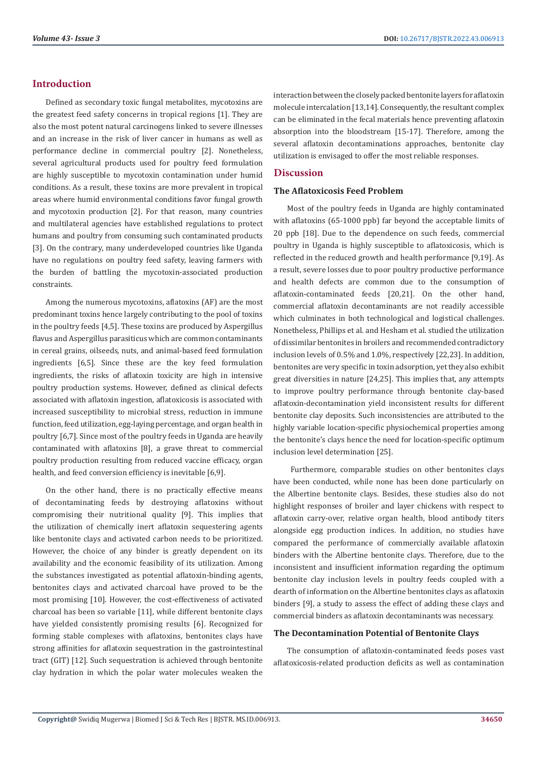# **Introduction**

Defined as secondary toxic fungal metabolites, mycotoxins are the greatest feed safety concerns in tropical regions [1]. They are also the most potent natural carcinogens linked to severe illnesses and an increase in the risk of liver cancer in humans as well as performance decline in commercial poultry [2]. Nonetheless, several agricultural products used for poultry feed formulation are highly susceptible to mycotoxin contamination under humid conditions. As a result, these toxins are more prevalent in tropical areas where humid environmental conditions favor fungal growth and mycotoxin production [2]. For that reason, many countries and multilateral agencies have established regulations to protect humans and poultry from consuming such contaminated products [3]. On the contrary, many underdeveloped countries like Uganda have no regulations on poultry feed safety, leaving farmers with the burden of battling the mycotoxin-associated production constraints.

Among the numerous mycotoxins, aflatoxins (AF) are the most predominant toxins hence largely contributing to the pool of toxins in the poultry feeds [4,5]. These toxins are produced by Aspergillus flavus and Aspergillus parasiticus which are common contaminants in cereal grains, oilseeds, nuts, and animal-based feed formulation ingredients [6,5]. Since these are the key feed formulation ingredients, the risks of aflatoxin toxicity are high in intensive poultry production systems. However, defined as clinical defects associated with aflatoxin ingestion, aflatoxicosis is associated with increased susceptibility to microbial stress, reduction in immune function, feed utilization, egg-laying percentage, and organ health in poultry [6,7]. Since most of the poultry feeds in Uganda are heavily contaminated with aflatoxins [8], a grave threat to commercial poultry production resulting from reduced vaccine efficacy, organ health, and feed conversion efficiency is inevitable [6,9].

On the other hand, there is no practically effective means of decontaminating feeds by destroying aflatoxins without compromising their nutritional quality [9]. This implies that the utilization of chemically inert aflatoxin sequestering agents like bentonite clays and activated carbon needs to be prioritized. However, the choice of any binder is greatly dependent on its availability and the economic feasibility of its utilization. Among the substances investigated as potential aflatoxin-binding agents, bentonites clays and activated charcoal have proved to be the most promising [10]. However, the cost-effectiveness of activated charcoal has been so variable [11], while different bentonite clays have yielded consistently promising results [6]. Recognized for forming stable complexes with aflatoxins, bentonites clays have strong affinities for aflatoxin sequestration in the gastrointestinal tract (GIT) [12]. Such sequestration is achieved through bentonite clay hydration in which the polar water molecules weaken the interaction between the closely packed bentonite layers for aflatoxin molecule intercalation [13,14]. Consequently, the resultant complex can be eliminated in the fecal materials hence preventing aflatoxin absorption into the bloodstream [15-17]. Therefore, among the several aflatoxin decontaminations approaches, bentonite clay utilization is envisaged to offer the most reliable responses.

# **Discussion**

## **The Aflatoxicosis Feed Problem**

Most of the poultry feeds in Uganda are highly contaminated with aflatoxins (65-1000 ppb) far beyond the acceptable limits of 20 ppb [18]. Due to the dependence on such feeds, commercial poultry in Uganda is highly susceptible to aflatoxicosis, which is reflected in the reduced growth and health performance [9,19]. As a result, severe losses due to poor poultry productive performance and health defects are common due to the consumption of aflatoxin-contaminated feeds [20,21]. On the other hand, commercial aflatoxin decontaminants are not readily accessible which culminates in both technological and logistical challenges. Nonetheless, Phillips et al. and Hesham et al. studied the utilization of dissimilar bentonites in broilers and recommended contradictory inclusion levels of 0.5% and 1.0%, respectively [22,23]. In addition, bentonites are very specific in toxin adsorption, yet they also exhibit great diversities in nature [24,25]. This implies that, any attempts to improve poultry performance through bentonite clay-based aflatoxin-decontamination yield inconsistent results for different bentonite clay deposits. Such inconsistencies are attributed to the highly variable location-specific physiochemical properties among the bentonite's clays hence the need for location-specific optimum inclusion level determination [25].

 Furthermore, comparable studies on other bentonites clays have been conducted, while none has been done particularly on the Albertine bentonite clays. Besides, these studies also do not highlight responses of broiler and layer chickens with respect to aflatoxin carry-over, relative organ health, blood antibody titers alongside egg production indices. In addition, no studies have compared the performance of commercially available aflatoxin binders with the Albertine bentonite clays. Therefore, due to the inconsistent and insufficient information regarding the optimum bentonite clay inclusion levels in poultry feeds coupled with a dearth of information on the Albertine bentonites clays as aflatoxin binders [9], a study to assess the effect of adding these clays and commercial binders as aflatoxin decontaminants was necessary.

### **The Decontamination Potential of Bentonite Clays**

The consumption of aflatoxin-contaminated feeds poses vast aflatoxicosis-related production deficits as well as contamination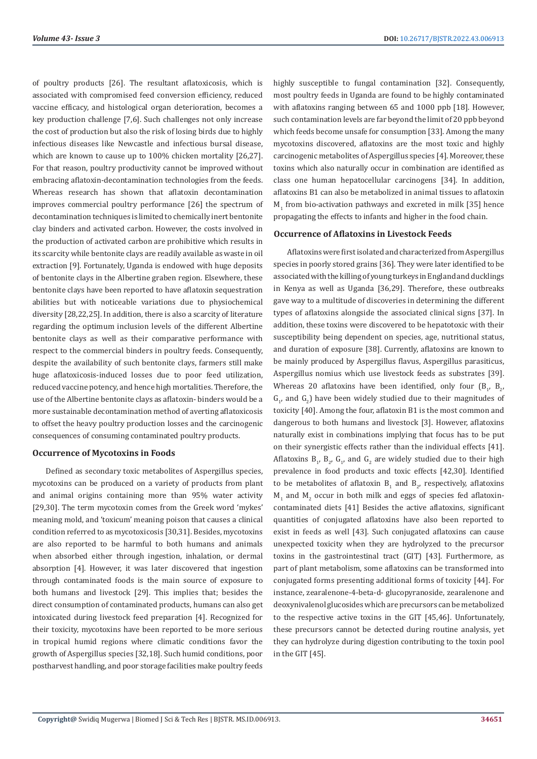of poultry products [26]. The resultant aflatoxicosis, which is associated with compromised feed conversion efficiency, reduced vaccine efficacy, and histological organ deterioration, becomes a key production challenge [7,6]. Such challenges not only increase the cost of production but also the risk of losing birds due to highly infectious diseases like Newcastle and infectious bursal disease, which are known to cause up to 100% chicken mortality [26,27]. For that reason, poultry productivity cannot be improved without embracing aflatoxin-decontamination technologies from the feeds. Whereas research has shown that aflatoxin decontamination improves commercial poultry performance [26] the spectrum of decontamination techniques is limited to chemically inert bentonite clay binders and activated carbon. However, the costs involved in the production of activated carbon are prohibitive which results in its scarcity while bentonite clays are readily available as waste in oil extraction [9]. Fortunately, Uganda is endowed with huge deposits of bentonite clays in the Albertine graben region. Elsewhere, these bentonite clays have been reported to have aflatoxin sequestration abilities but with noticeable variations due to physiochemical diversity [28,22,25]. In addition, there is also a scarcity of literature regarding the optimum inclusion levels of the different Albertine bentonite clays as well as their comparative performance with respect to the commercial binders in poultry feeds. Consequently, despite the availability of such bentonite clays, farmers still make huge aflatoxicosis-induced losses due to poor feed utilization, reduced vaccine potency, and hence high mortalities. Therefore, the use of the Albertine bentonite clays as aflatoxin- binders would be a more sustainable decontamination method of averting aflatoxicosis to offset the heavy poultry production losses and the carcinogenic consequences of consuming contaminated poultry products.

### **Occurrence of Mycotoxins in Foods**

Defined as secondary toxic metabolites of Aspergillus species, mycotoxins can be produced on a variety of products from plant and animal origins containing more than 95% water activity [29,30]. The term mycotoxin comes from the Greek word 'mykes' meaning mold, and 'toxicum' meaning poison that causes a clinical condition referred to as mycotoxicosis [30,31]. Besides, mycotoxins are also reported to be harmful to both humans and animals when absorbed either through ingestion, inhalation, or dermal absorption [4]. However, it was later discovered that ingestion through contaminated foods is the main source of exposure to both humans and livestock [29]. This implies that; besides the direct consumption of contaminated products, humans can also get intoxicated during livestock feed preparation [4]. Recognized for their toxicity, mycotoxins have been reported to be more serious in tropical humid regions where climatic conditions favor the growth of Aspergillus species [32,18]. Such humid conditions, poor postharvest handling, and poor storage facilities make poultry feeds

highly susceptible to fungal contamination [32]. Consequently, most poultry feeds in Uganda are found to be highly contaminated with aflatoxins ranging between 65 and 1000 ppb [18]. However, such contamination levels are far beyond the limit of 20 ppb beyond which feeds become unsafe for consumption [33]. Among the many mycotoxins discovered, aflatoxins are the most toxic and highly carcinogenic metabolites of Aspergillus species [4]. Moreover, these toxins which also naturally occur in combination are identified as class one human hepatocellular carcinogens [34]. In addition, aflatoxins B1 can also be metabolized in animal tissues to aflatoxin  $M_1$  from bio-activation pathways and excreted in milk [35] hence propagating the effects to infants and higher in the food chain.

#### **Occurrence of Aflatoxins in Livestock Feeds**

Aflatoxins were first isolated and characterized from Aspergillus species in poorly stored grains [36]. They were later identified to be associated with the killing of young turkeys in England and ducklings in Kenya as well as Uganda [36,29]. Therefore, these outbreaks gave way to a multitude of discoveries in determining the different types of aflatoxins alongside the associated clinical signs [37]. In addition, these toxins were discovered to be hepatotoxic with their susceptibility being dependent on species, age, nutritional status, and duration of exposure [38]. Currently, aflatoxins are known to be mainly produced by Aspergillus flavus, Aspergillus parasiticus, Aspergillus nomius which use livestock feeds as substrates [39]. Whereas 20 aflatoxins have been identified, only four  $(B_{1}^{\prime}, B_{2}^{\prime})$  $G_1$ , and  $G_2$ ) have been widely studied due to their magnitudes of toxicity [40]. Among the four, aflatoxin B1 is the most common and dangerous to both humans and livestock [3]. However, aflatoxins naturally exist in combinations implying that focus has to be put on their synergistic effects rather than the individual effects [41]. Aflatoxins  $B_1$ ,  $B_2$ ,  $G_1$ , and  $G_2$  are widely studied due to their high prevalence in food products and toxic effects [42,30]. Identified to be metabolites of aflatoxin  $B_1$  and  $B_2$ , respectively, aflatoxins  $M_1$  and  $M_2$  occur in both milk and eggs of species fed aflatoxincontaminated diets [41] Besides the active aflatoxins, significant quantities of conjugated aflatoxins have also been reported to exist in feeds as well [43]. Such conjugated aflatoxins can cause unexpected toxicity when they are hydrolyzed to the precursor toxins in the gastrointestinal tract (GIT) [43]. Furthermore, as part of plant metabolism, some aflatoxins can be transformed into conjugated forms presenting additional forms of toxicity [44]. For instance, zearalenone-4-beta-d- glucopyranoside, zearalenone and deoxynivalenol glucosides which are precursors can be metabolized to the respective active toxins in the GIT [45,46]. Unfortunately, these precursors cannot be detected during routine analysis, yet they can hydrolyze during digestion contributing to the toxin pool in the GIT [45].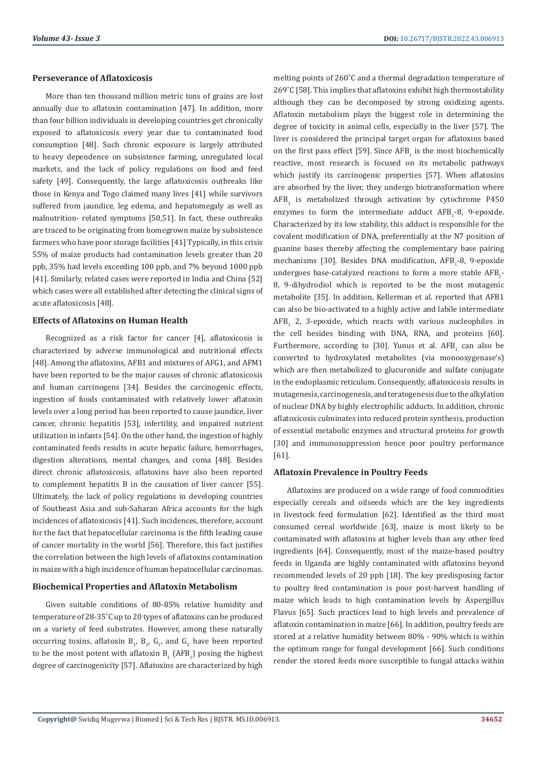#### **Perseverance of Aflatoxicosis**

More than ten thousand million metric tons of grains are lost annually due to aflatoxin contamination [47]. In addition, more than four billion individuals in developing countries get chronically exposed to aflatoxicosis every year due to contaminated food consumption [48]. Such chronic exposure is largely attributed to heavy dependence on subsistence farming, unregulated local markets, and the lack of policy regulations on food and feed safety [49]. Consequently, the large aflatoxicosis outbreaks like those in Kenya and Togo claimed many lives [41] while survivors suffered from jaundice, leg edema, and hepatomegaly as well as malnutrition- related symptoms [50,51]. In fact, these outbreaks are traced to be originating from homegrown maize by subsistence farmers who have poor storage facilities [41] Typically, in this crisis 55% of maize products had contamination levels greater than 20 ppb, 35% had levels exceeding 100 ppb, and 7% beyond 1000 ppb [41]. Similarly, related cases were reported in India and China [52] which cases were all established after detecting the clinical signs of acute aflatoxicosis [48].

### **Effects of Aflatoxins on Human Health**

Recognized as a risk factor for cancer [4], aflatoxicosis is characterized by adverse immunological and nutritional effects [48]. Among the aflatoxins, AFB1 and mixtures of AFG1, and AFM1 have been reported to be the major causes of chronic aflatoxicosis and human carcinogens [34]. Besides the carcinogenic effects, ingestion of foods contaminated with relatively lower aflatoxin levels over a long period has been reported to cause jaundice, liver cancer, chronic hepatitis [53], infertility, and impaired nutrient utilization in infants [54]. On the other hand, the ingestion of highly contaminated feeds results in acute hepatic failure, hemorrhages, digestion alterations, mental changes, and coma [48]. Besides direct chronic aflatoxicosis, aflatoxins have also been reported to complement hepatitis B in the causation of liver cancer [55]. Ultimately, the lack of policy regulations in developing countries of Southeast Asia and sub-Saharan Africa accounts for the high incidences of aflatoxicosis [41]. Such incidences, therefore, account for the fact that hepatocellular carcinoma is the fifth leading cause of cancer mortality in the world [56]. Therefore, this fact justifies the correlation between the high levels of aflatoxins contamination in maize with a high incidence of human hepatocellular carcinomas.

# **Biochemical Properties and Aflatoxin Metabolism**

Given suitable conditions of 80-85% relative humidity and temperature of 28-35˚C up to 20 types of aflatoxins can be produced on a variety of feed substrates. However, among these naturally occurring toxins, aflatoxin  $B_1$ ,  $B_2$ ,  $G_1$ , and  $G_2$  have been reported to be the most potent with aflatoxin  $B_1^{\{AFB_1\}}$  posing the highest degree of carcinogenicity [57]. Aflatoxins are characterized by high

melting points of 260˚C and a thermal degradation temperature of 269˚C [58]. This implies that aflatoxins exhibit high thermostability although they can be decomposed by strong oxidizing agents. Aflatoxin metabolism plays the biggest role in determining the degree of toxicity in animal cells, especially in the liver [57]. The liver is considered the principal target organ for aflatoxins based on the first pass effect  $[59]$ . Since  $AFB<sub>1</sub>$  is the most biochemically reactive, most research is focused on its metabolic pathways which justify its carcinogenic properties [57]. When aflatoxins are absorbed by the liver, they undergo biotransformation where  $AFB<sub>1</sub>$  is metabolized through activation by cytochrome P450 enzymes to form the intermediate adduct  $AFB_{1}$ -8, 9-epoxide. Characterized by its low stability, this adduct is responsible for the covalent modification of DNA, preferentially at the N7 position of guanine bases thereby affecting the complementary base pairing mechanisms [30]. Besides DNA modification, AFB<sub>1</sub>-8, 9-epoxide undergoes base-catalyzed reactions to form a more stable  $\rm{AFB_{1}}$ -8, 9-dihydrodiol which is reported to be the most mutagenic metabolite [35]. In addition, Kellerman et al. reported that AFB1 can also be bio-activated to a highly active and labile intermediate  $\mathsf{AFB}_1$  2, 3-epoxide, which reacts with various nucleophiles in the cell besides binding with DNA, RNA, and proteins [60]. Furthermore, according to [30]. Yunus et al.  $AFB<sub>1</sub>$  can also be converted to hydroxylated metabolites (via monooxygenase's) which are then metabolized to glucuronide and sulfate conjugate in the endoplasmic reticulum. Consequently, aflatoxicosis results in mutagenesis, carcinogenesis, and teratogenesis due to the alkylation of nuclear DNA by highly electrophilic adducts. In addition, chronic aflatoxicosis culminates into reduced protein synthesis, production of essential metabolic enzymes and structural proteins for growth [30] and immunosuppression hence poor poultry performance [61].

### **Aflatoxin Prevalence in Poultry Feeds**

Aflatoxins are produced on a wide range of food commodities especially cereals and oilseeds which are the key ingredients in livestock feed formulation [62]. Identified as the third most consumed cereal worldwide [63], maize is most likely to be contaminated with aflatoxins at higher levels than any other feed ingredients [64]. Consequently, most of the maize-based poultry feeds in Uganda are highly contaminated with aflatoxins beyond recommended levels of 20 ppb [18]. The key predisposing factor to poultry feed contamination is poor post-harvest handling of maize which leads to high contamination levels by Aspergillus Flavus [65]. Such practices lead to high levels and prevalence of aflatoxin contamination in maize [66]. In addition, poultry feeds are stored at a relative humidity between 80% - 90% which is within the optimum range for fungal development [66]. Such conditions render the stored feeds more susceptible to fungal attacks within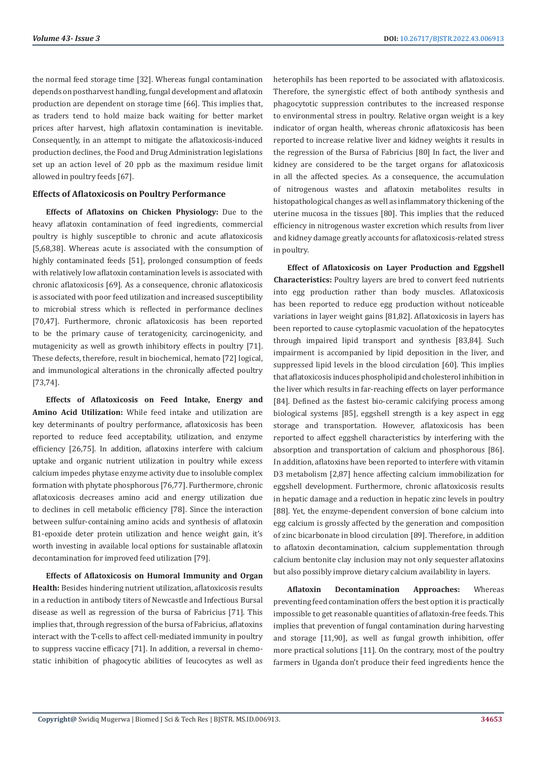the normal feed storage time [32]. Whereas fungal contamination depends on postharvest handling, fungal development and aflatoxin production are dependent on storage time [66]. This implies that, as traders tend to hold maize back waiting for better market prices after harvest, high aflatoxin contamination is inevitable. Consequently, in an attempt to mitigate the aflatoxicosis-induced production declines, the Food and Drug Administration legislations set up an action level of 20 ppb as the maximum residue limit allowed in poultry feeds [67].

### **Effects of Aflatoxicosis on Poultry Performance**

**Effects of Aflatoxins on Chicken Physiology:** Due to the heavy aflatoxin contamination of feed ingredients, commercial poultry is highly susceptible to chronic and acute aflatoxicosis [5,68,38]. Whereas acute is associated with the consumption of highly contaminated feeds [51], prolonged consumption of feeds with relatively low aflatoxin contamination levels is associated with chronic aflatoxicosis [69]. As a consequence, chronic aflatoxicosis is associated with poor feed utilization and increased susceptibility to microbial stress which is reflected in performance declines [70,47]. Furthermore, chronic aflatoxicosis has been reported to be the primary cause of teratogenicity, carcinogenicity, and mutagenicity as well as growth inhibitory effects in poultry [71]. These defects, therefore, result in biochemical, hemato [72] logical, and immunological alterations in the chronically affected poultry [73,74].

**Effects of Aflatoxicosis on Feed Intake, Energy and Amino Acid Utilization:** While feed intake and utilization are key determinants of poultry performance, aflatoxicosis has been reported to reduce feed acceptability, utilization, and enzyme efficiency [26,75]. In addition, aflatoxins interfere with calcium uptake and organic nutrient utilization in poultry while excess calcium impedes phytase enzyme activity due to insoluble complex formation with phytate phosphorous [76,77]. Furthermore, chronic aflatoxicosis decreases amino acid and energy utilization due to declines in cell metabolic efficiency [78]. Since the interaction between sulfur-containing amino acids and synthesis of aflatoxin B1-epoxide deter protein utilization and hence weight gain, it's worth investing in available local options for sustainable aflatoxin decontamination for improved feed utilization [79].

**Effects of Aflatoxicosis on Humoral Immunity and Organ Health:** Besides hindering nutrient utilization, aflatoxicosis results in a reduction in antibody titers of Newcastle and Infectious Bursal disease as well as regression of the bursa of Fabricius [71]. This implies that, through regression of the bursa of Fabricius, aflatoxins interact with the T-cells to affect cell-mediated immunity in poultry to suppress vaccine efficacy [71]. In addition, a reversal in chemostatic inhibition of phagocytic abilities of leucocytes as well as

heterophils has been reported to be associated with aflatoxicosis. Therefore, the synergistic effect of both antibody synthesis and phagocytotic suppression contributes to the increased response to environmental stress in poultry. Relative organ weight is a key indicator of organ health, whereas chronic aflatoxicosis has been reported to increase relative liver and kidney weights it results in the regression of the Bursa of Fabricius [80] In fact, the liver and kidney are considered to be the target organs for aflatoxicosis in all the affected species. As a consequence, the accumulation of nitrogenous wastes and aflatoxin metabolites results in histopathological changes as well as inflammatory thickening of the uterine mucosa in the tissues [80]. This implies that the reduced efficiency in nitrogenous waster excretion which results from liver and kidney damage greatly accounts for aflatoxicosis-related stress in poultry.

**Effect of Aflatoxicosis on Layer Production and Eggshell Characteristics:** Poultry layers are bred to convert feed nutrients into egg production rather than body muscles. Aflatoxicosis has been reported to reduce egg production without noticeable variations in layer weight gains [81,82]. Aflatoxicosis in layers has been reported to cause cytoplasmic vacuolation of the hepatocytes through impaired lipid transport and synthesis [83,84]. Such impairment is accompanied by lipid deposition in the liver, and suppressed lipid levels in the blood circulation [60]. This implies that aflatoxicosis induces phospholipid and cholesterol inhibition in the liver which results in far-reaching effects on layer performance [84]. Defined as the fastest bio-ceramic calcifying process among biological systems [85], eggshell strength is a key aspect in egg storage and transportation. However, aflatoxicosis has been reported to affect eggshell characteristics by interfering with the absorption and transportation of calcium and phosphorous [86]. In addition, aflatoxins have been reported to interfere with vitamin D3 metabolism [2,87] hence affecting calcium immobilization for eggshell development. Furthermore, chronic aflatoxicosis results in hepatic damage and a reduction in hepatic zinc levels in poultry [88]. Yet, the enzyme-dependent conversion of bone calcium into egg calcium is grossly affected by the generation and composition of zinc bicarbonate in blood circulation [89]. Therefore, in addition to aflatoxin decontamination, calcium supplementation through calcium bentonite clay inclusion may not only sequester aflatoxins but also possibly improve dietary calcium availability in layers.

**Aflatoxin Decontamination Approaches:** Whereas preventing feed contamination offers the best option it is practically impossible to get reasonable quantities of aflatoxin-free feeds. This implies that prevention of fungal contamination during harvesting and storage [11,90], as well as fungal growth inhibition, offer more practical solutions [11]. On the contrary, most of the poultry farmers in Uganda don't produce their feed ingredients hence the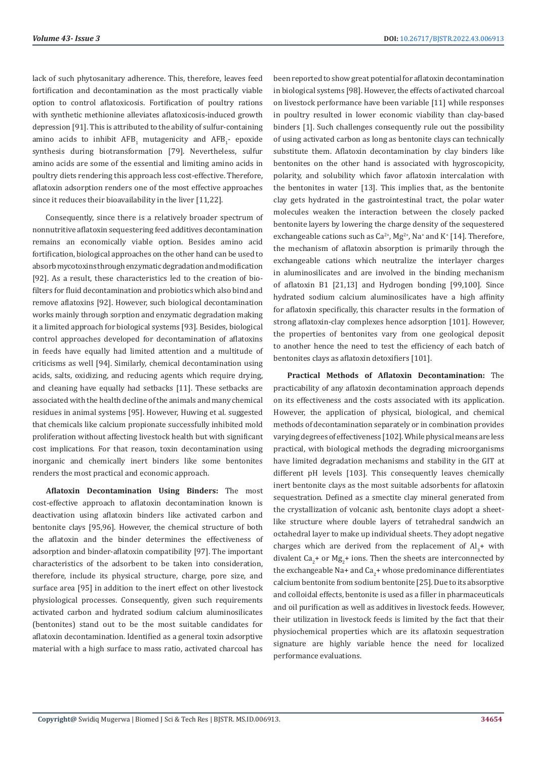lack of such phytosanitary adherence. This, therefore, leaves feed fortification and decontamination as the most practically viable option to control aflatoxicosis. Fortification of poultry rations with synthetic methionine alleviates aflatoxicosis-induced growth depression [91]. This is attributed to the ability of sulfur-containing amino acids to inhibit  $AFB_1$  mutagenicity and  $AFB_1$ - epoxide synthesis during biotransformation [79]. Nevertheless, sulfur amino acids are some of the essential and limiting amino acids in poultry diets rendering this approach less cost-effective. Therefore, aflatoxin adsorption renders one of the most effective approaches since it reduces their bioavailability in the liver [11,22].

Consequently, since there is a relatively broader spectrum of nonnutritive aflatoxin sequestering feed additives decontamination remains an economically viable option. Besides amino acid fortification, biological approaches on the other hand can be used to absorb mycotoxins through enzymatic degradation and modification [92]. As a result, these characteristics led to the creation of biofilters for fluid decontamination and probiotics which also bind and remove aflatoxins [92]. However, such biological decontamination works mainly through sorption and enzymatic degradation making it a limited approach for biological systems [93]. Besides, biological control approaches developed for decontamination of aflatoxins in feeds have equally had limited attention and a multitude of criticisms as well [94]. Similarly, chemical decontamination using acids, salts, oxidizing, and reducing agents which require drying, and cleaning have equally had setbacks [11]. These setbacks are associated with the health decline of the animals and many chemical residues in animal systems [95]. However, Huwing et al. suggested that chemicals like calcium propionate successfully inhibited mold proliferation without affecting livestock health but with significant cost implications. For that reason, toxin decontamination using inorganic and chemically inert binders like some bentonites renders the most practical and economic approach.

**Aflatoxin Decontamination Using Binders:** The most cost-effective approach to aflatoxin decontamination known is deactivation using aflatoxin binders like activated carbon and bentonite clays [95,96]. However, the chemical structure of both the aflatoxin and the binder determines the effectiveness of adsorption and binder-aflatoxin compatibility [97]. The important characteristics of the adsorbent to be taken into consideration, therefore, include its physical structure, charge, pore size, and surface area [95] in addition to the inert effect on other livestock physiological processes. Consequently, given such requirements activated carbon and hydrated sodium calcium aluminosilicates (bentonites) stand out to be the most suitable candidates for aflatoxin decontamination. Identified as a general toxin adsorptive material with a high surface to mass ratio, activated charcoal has

been reported to show great potential for aflatoxin decontamination in biological systems [98]. However, the effects of activated charcoal on livestock performance have been variable [11] while responses in poultry resulted in lower economic viability than clay-based binders [1]. Such challenges consequently rule out the possibility of using activated carbon as long as bentonite clays can technically substitute them. Aflatoxin decontamination by clay binders like bentonites on the other hand is associated with hygroscopicity, polarity, and solubility which favor aflatoxin intercalation with the bentonites in water [13]. This implies that, as the bentonite clay gets hydrated in the gastrointestinal tract, the polar water molecules weaken the interaction between the closely packed bentonite layers by lowering the charge density of the sequestered exchangeable cations such as  $Ca^{2+}$ ,  $Mg^{2+}$ , Na<sup>+</sup> and K<sup>+</sup> [14]. Therefore, the mechanism of aflatoxin absorption is primarily through the exchangeable cations which neutralize the interlayer charges in aluminosilicates and are involved in the binding mechanism of aflatoxin B1 [21,13] and Hydrogen bonding [99,100]. Since hydrated sodium calcium aluminosilicates have a high affinity for aflatoxin specifically, this character results in the formation of strong aflatoxin-clay complexes hence adsorption [101]. However, the properties of bentonites vary from one geological deposit to another hence the need to test the efficiency of each batch of bentonites clays as aflatoxin detoxifiers [101].

**Practical Methods of Aflatoxin Decontamination:** The practicability of any aflatoxin decontamination approach depends on its effectiveness and the costs associated with its application. However, the application of physical, biological, and chemical methods of decontamination separately or in combination provides varying degrees of effectiveness [102]. While physical means are less practical, with biological methods the degrading microorganisms have limited degradation mechanisms and stability in the GIT at different pH levels [103]. This consequently leaves chemically inert bentonite clays as the most suitable adsorbents for aflatoxin sequestration. Defined as a smectite clay mineral generated from the crystallization of volcanic ash, bentonite clays adopt a sheetlike structure where double layers of tetrahedral sandwich an octahedral layer to make up individual sheets. They adopt negative charges which are derived from the replacement of  $Al<sub>3</sub>$ + with divalent  $Ca_{2}$ + or Mg<sub>2</sub>+ ions. Then the sheets are interconnected by the exchangeable Na+ and Ca $_2^{\circ}$ + whose predominance differentiates calcium bentonite from sodium bentonite [25]. Due to its absorptive and colloidal effects, bentonite is used as a filler in pharmaceuticals and oil purification as well as additives in livestock feeds. However, their utilization in livestock feeds is limited by the fact that their physiochemical properties which are its aflatoxin sequestration signature are highly variable hence the need for localized performance evaluations.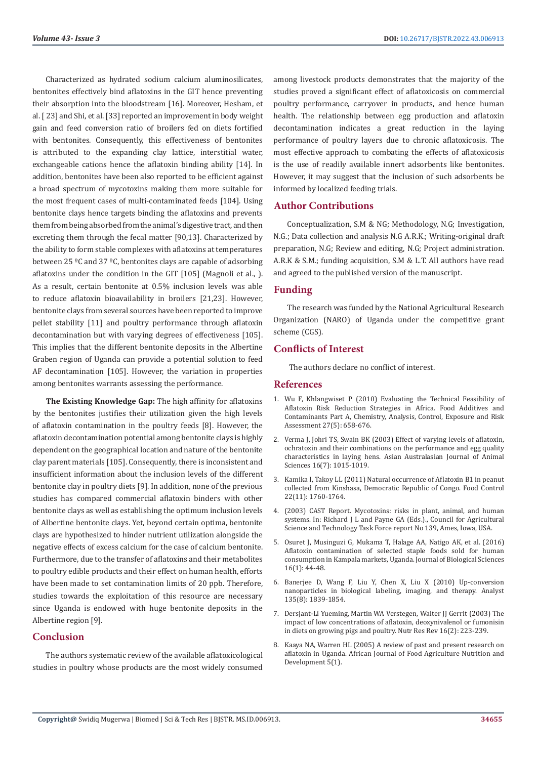Characterized as hydrated sodium calcium aluminosilicates, bentonites effectively bind aflatoxins in the GIT hence preventing their absorption into the bloodstream [16]. Moreover, Hesham, et al. [ 23] and Shi, et al. [33] reported an improvement in body weight gain and feed conversion ratio of broilers fed on diets fortified with bentonites. Consequently, this effectiveness of bentonites is attributed to the expanding clay lattice, interstitial water, exchangeable cations hence the aflatoxin binding ability [14]. In addition, bentonites have been also reported to be efficient against a broad spectrum of mycotoxins making them more suitable for the most frequent cases of multi-contaminated feeds [104]. Using bentonite clays hence targets binding the aflatoxins and prevents them from being absorbed from the animal's digestive tract, and then excreting them through the fecal matter [90,13]. Characterized by the ability to form stable complexes with aflatoxins at temperatures between 25 ºC and 37 ºC, bentonites clays are capable of adsorbing aflatoxins under the condition in the GIT [105] (Magnoli et al., ). As a result, certain bentonite at 0.5% inclusion levels was able to reduce aflatoxin bioavailability in broilers [21,23]. However, bentonite clays from several sources have been reported to improve pellet stability [11] and poultry performance through aflatoxin decontamination but with varying degrees of effectiveness [105]. This implies that the different bentonite deposits in the Albertine Graben region of Uganda can provide a potential solution to feed AF decontamination [105]. However, the variation in properties among bentonites warrants assessing the performance.

**The Existing Knowledge Gap:** The high affinity for aflatoxins by the bentonites justifies their utilization given the high levels of aflatoxin contamination in the poultry feeds [8]. However, the aflatoxin decontamination potential among bentonite clays is highly dependent on the geographical location and nature of the bentonite clay parent materials [105]. Consequently, there is inconsistent and insufficient information about the inclusion levels of the different bentonite clay in poultry diets [9]. In addition, none of the previous studies has compared commercial aflatoxin binders with other bentonite clays as well as establishing the optimum inclusion levels of Albertine bentonite clays. Yet, beyond certain optima, bentonite clays are hypothesized to hinder nutrient utilization alongside the negative effects of excess calcium for the case of calcium bentonite. Furthermore, due to the transfer of aflatoxins and their metabolites to poultry edible products and their effect on human health, efforts have been made to set contamination limits of 20 ppb. Therefore, studies towards the exploitation of this resource are necessary since Uganda is endowed with huge bentonite deposits in the Albertine region [9].

# **Conclusion**

The authors systematic review of the available aflatoxicological studies in poultry whose products are the most widely consumed among livestock products demonstrates that the majority of the studies proved a significant effect of aflatoxicosis on commercial poultry performance, carryover in products, and hence human health. The relationship between egg production and aflatoxin decontamination indicates a great reduction in the laying performance of poultry layers due to chronic aflatoxicosis. The most effective approach to combating the effects of aflatoxicosis is the use of readily available innert adsorbents like bentonites. However, it may suggest that the inclusion of such adsorbents be informed by localized feeding trials.

# **Author Contributions**

Conceptualization, S.M & NG; Methodology, N.G; Investigation, N.G.; Data collection and analysis N.G A.R.K.; Writing-original draft preparation, N.G; Review and editing, N.G; Project administration. A.R.K & S.M.; funding acquisition, S.M & L.T. All authors have read and agreed to the published version of the manuscript.

# **Funding**

The research was funded by the National Agricultural Research Organization (NARO) of Uganda under the competitive grant scheme (CGS).

# **Conflicts of Interest**

The authors declare no conflict of interest.

# **References**

- 1. [Wu F, Khlangwiset P \(2010\) Evaluating the Technical Feasibility of](https://www.ncbi.nlm.nih.gov/pmc/articles/PMC2882709/) [Aflatoxin Risk Reduction Strategies in Africa. Food Additives and](https://www.ncbi.nlm.nih.gov/pmc/articles/PMC2882709/) [Contaminants Part A, Chemistry, Analysis, Control, Exposure and Risk](https://www.ncbi.nlm.nih.gov/pmc/articles/PMC2882709/) [Assessment 27\(5\): 658-676.](https://www.ncbi.nlm.nih.gov/pmc/articles/PMC2882709/)
- 2. [Verma J, Johri TS, Swain BK \(2003\) Effect of varying levels of aflatoxin,](https://www.researchgate.net/publication/277327691_Effect_of_varying_levels_of_aflatoxin_ochratoxin_and_their_combinations_on_the_performance_and_egg_quality_characteristics_in_laying_hens) [ochratoxin and their combinations on the performance and egg quality](https://www.researchgate.net/publication/277327691_Effect_of_varying_levels_of_aflatoxin_ochratoxin_and_their_combinations_on_the_performance_and_egg_quality_characteristics_in_laying_hens) [characteristics in laying hens. Asian Australasian Journal of Animal](https://www.researchgate.net/publication/277327691_Effect_of_varying_levels_of_aflatoxin_ochratoxin_and_their_combinations_on_the_performance_and_egg_quality_characteristics_in_laying_hens) [Sciences 16\(7\): 1015-1019.](https://www.researchgate.net/publication/277327691_Effect_of_varying_levels_of_aflatoxin_ochratoxin_and_their_combinations_on_the_performance_and_egg_quality_characteristics_in_laying_hens)
- 3. [Kamika I, Takoy LL \(2011\) Natural occurrence of Aflatoxin B1 in peanut](https://www.researchgate.net/publication/251623086_Natural_occurrence_of_Aflatoxin_B1_in_peanut_collected_from_Kinshasa_Democratic_Republic_of_Congo) [collected from Kinshasa, Democratic Republic of Congo. Food Control](https://www.researchgate.net/publication/251623086_Natural_occurrence_of_Aflatoxin_B1_in_peanut_collected_from_Kinshasa_Democratic_Republic_of_Congo) [22\(11\): 1760-1764.](https://www.researchgate.net/publication/251623086_Natural_occurrence_of_Aflatoxin_B1_in_peanut_collected_from_Kinshasa_Democratic_Republic_of_Congo)
- 4. (2003) CAST Report. Mycotoxins: risks in plant, animal, and human systems. In: Richard J L and Payne GA (Eds.)., Council for Agricultural Science and Technology Task Force report No 139, Ames, Iowa, USA.
- 5. [Osuret J, Musinguzi G, Mukama T, Halage AA, Natigo AK, et al. \(2016\)](https://scialert.net/abstract/?doi=jbs.2016.44.48) [Aflatoxin contamination of selected staple foods sold for human](https://scialert.net/abstract/?doi=jbs.2016.44.48) [consumption in Kampala markets, Uganda. Journal of Biological Sciences](https://scialert.net/abstract/?doi=jbs.2016.44.48) [16\(1\): 44-48.](https://scialert.net/abstract/?doi=jbs.2016.44.48)
- 6. [Banerjee D, Wang F, Liu Y, Chen X, Liu X \(2010\) Up-conversion](https://pubs.rsc.org/en/content/articlelanding/2010/an/c0an00144a) [nanoparticles in biological labeling, imaging, and therapy. Analyst](https://pubs.rsc.org/en/content/articlelanding/2010/an/c0an00144a) [135\(8\): 1839-1854.](https://pubs.rsc.org/en/content/articlelanding/2010/an/c0an00144a)
- 7. [Dersjant-Li Yueming, Martin WA Verstegen, Walter JJ Gerrit \(2003\) The](https://pubmed.ncbi.nlm.nih.gov/19087391/) [impact of low concentrations of aflatoxin, deoxynivalenol or fumonisin](https://pubmed.ncbi.nlm.nih.gov/19087391/) [in diets on growing pigs and poultry. Nutr Res Rev 16\(2\): 223-239.](https://pubmed.ncbi.nlm.nih.gov/19087391/)
- 8. [Kaaya NA, Warren HL \(2005\) A review of past and present research on](http://www.bioline.org.br/pdf?nd05010) [aflatoxin in Uganda. African Journal of Food Agriculture Nutrition and](http://www.bioline.org.br/pdf?nd05010) [Development 5\(1\).](http://www.bioline.org.br/pdf?nd05010)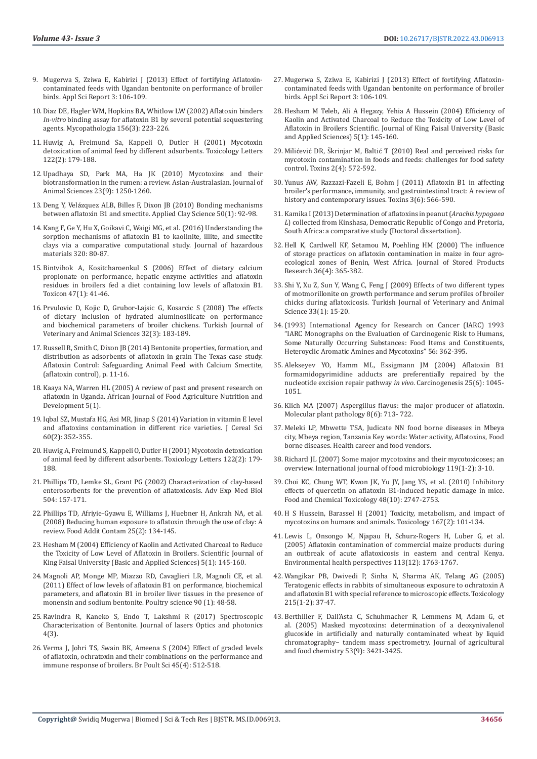- 9. [Mugerwa S, Zziwa E, Kabirizi J \(2013\) Effect of fortifying Aflatoxin](https://www.researchgate.net/profile/Emmanuel-Zziwa/publication/279206557_Effect_of_fortifying_Aflatoxin-contaminated_feeds_with_Ugandan_bentonite_on_performance_of_broiler_birds/links/5593b68908aed7453d46843a/Effect-of-fortifying-Aflatoxin-contaminated-feeds-with-Ugandan-bentonite-on-performance-of-broiler-birds.pdf)[contaminated feeds with Ugandan bentonite on performance of broiler](https://www.researchgate.net/profile/Emmanuel-Zziwa/publication/279206557_Effect_of_fortifying_Aflatoxin-contaminated_feeds_with_Ugandan_bentonite_on_performance_of_broiler_birds/links/5593b68908aed7453d46843a/Effect-of-fortifying-Aflatoxin-contaminated-feeds-with-Ugandan-bentonite-on-performance-of-broiler-birds.pdf)  [birds. Appl Sci Report 3: 106-109.](https://www.researchgate.net/profile/Emmanuel-Zziwa/publication/279206557_Effect_of_fortifying_Aflatoxin-contaminated_feeds_with_Ugandan_bentonite_on_performance_of_broiler_birds/links/5593b68908aed7453d46843a/Effect-of-fortifying-Aflatoxin-contaminated-feeds-with-Ugandan-bentonite-on-performance-of-broiler-birds.pdf)
- 10. [Diaz DE, Hagler WM, Hopkins BA, Whitlow LW \(2002\) Aflatoxin binders](https://www.researchgate.net/publication/10756889_Aflatoxin_Binders_I_In_vitro_binding_assay_for_aflatoxin_B1_by_several_potential_sequestering_agents)  *In-vitro* [binding assay for aflatoxin B1 by several potential sequestering](https://www.researchgate.net/publication/10756889_Aflatoxin_Binders_I_In_vitro_binding_assay_for_aflatoxin_B1_by_several_potential_sequestering_agents)  [agents. Mycopathologia 156\(3\): 223-226.](https://www.researchgate.net/publication/10756889_Aflatoxin_Binders_I_In_vitro_binding_assay_for_aflatoxin_B1_by_several_potential_sequestering_agents)
- 11. [Huwig A, Freimund Sa, Kappeli O, Dutler H \(2001\) Mycotoxin](https://pubmed.ncbi.nlm.nih.gov/11439224/)  [detoxication of animal feed by different adsorbents. Toxicology Letters](https://pubmed.ncbi.nlm.nih.gov/11439224/)  [122\(2\): 179-188.](https://pubmed.ncbi.nlm.nih.gov/11439224/)
- 12. [Upadhaya SD, Park MA, Ha JK \(2010\) Mycotoxins and their](https://www.researchgate.net/publication/264153776_Mycotoxins_and_Their_Biotransformation_in_the_Rumen_A_Review)  [biotransformation in the rumen: a review. Asian-Australasian. Journal of](https://www.researchgate.net/publication/264153776_Mycotoxins_and_Their_Biotransformation_in_the_Rumen_A_Review)  [Animal Sciences 23\(9\): 1250-1260.](https://www.researchgate.net/publication/264153776_Mycotoxins_and_Their_Biotransformation_in_the_Rumen_A_Review)
- 13. Deng Y, Velá[zquez ALB, Billes F, Dixon JB \(2010\) Bonding mechanisms](https://www.researchgate.net/publication/248536628_Bonding_mechanisms_between_aflatoxin_B_1_and_smectite)  [between aflatoxin B1 and smectite. Applied Clay Science 50\(1\): 92-98.](https://www.researchgate.net/publication/248536628_Bonding_mechanisms_between_aflatoxin_B_1_and_smectite)
- 14. [Kang F, Ge Y, Hu X, Goikavi C, Waigi MG, et al. \(2016\) Understanding the](https://pubmed.ncbi.nlm.nih.gov/27513372/)  [sorption mechanisms of aflatoxin B1 to kaolinite, illite, and smectite](https://pubmed.ncbi.nlm.nih.gov/27513372/)  [clays via a comparative computational study. Journal of hazardous](https://pubmed.ncbi.nlm.nih.gov/27513372/)  [materials 320: 80-87.](https://pubmed.ncbi.nlm.nih.gov/27513372/)
- 15. [Bintvihok A, Kositcharoenkul S \(2006\) Effect of dietary calcium](https://pubmed.ncbi.nlm.nih.gov/16298407/)  [propionate on performance, hepatic enzyme activities and aflatoxin](https://pubmed.ncbi.nlm.nih.gov/16298407/)  [residues in broilers fed a diet containing low levels of aflatoxin B1.](https://pubmed.ncbi.nlm.nih.gov/16298407/)  [Toxicon 47\(1\): 41-46.](https://pubmed.ncbi.nlm.nih.gov/16298407/)
- 16. [Prvulovic D, Kojic D, Grubor-Lajsic G, Kosarcic S \(2008\) The effects](https://citeseerx.ist.psu.edu/viewdoc/download?doi=10.1.1.842.9069&rep=rep1&type=pdf)  [of dietary inclusion of hydrated aluminosilicate on performance](https://citeseerx.ist.psu.edu/viewdoc/download?doi=10.1.1.842.9069&rep=rep1&type=pdf)  [and biochemical parameters of broiler chickens. Turkish Journal of](https://citeseerx.ist.psu.edu/viewdoc/download?doi=10.1.1.842.9069&rep=rep1&type=pdf)  [Veterinary and Animal Sciences 32\(3\): 183-189.](https://citeseerx.ist.psu.edu/viewdoc/download?doi=10.1.1.842.9069&rep=rep1&type=pdf)
- 17. Russell R, Smith C, Dixon JB (2014) Bentonite properties, formation, and distribution as adsorbents of aflatoxin in grain The Texas case study. Aflatoxin Control: Safeguarding Animal Feed with Calcium Smectite, (aflatoxin control), p. 11-16.
- 18. [Kaaya NA, Warren HL \(2005\) A review of past and present research on](http://www.bioline.org.br/pdf?nd05010)  [aflatoxin in Uganda. African Journal of Food Agriculture Nutrition and](http://www.bioline.org.br/pdf?nd05010)  [Development 5\(1\).](http://www.bioline.org.br/pdf?nd05010)
- 19. [Iqbal SZ, Mustafa HG, Asi MR, Jinap S \(2014\) Variation in vitamin E level](https://www.cabdirect.org/cabdirect/abstract/20143339819)  [and aflatoxins contamination in different rice varieties. J Cereal Sci](https://www.cabdirect.org/cabdirect/abstract/20143339819)  [60\(2\): 352-355.](https://www.cabdirect.org/cabdirect/abstract/20143339819)
- 20. [Huwig A, Freimund S, Kappeli O, Dutler H \(2001\) Mycotoxin detoxication](https://pubmed.ncbi.nlm.nih.gov/11439224/)  [of animal feed by different adsorbents. Toxicology Letters 122\(2\): 179-](https://pubmed.ncbi.nlm.nih.gov/11439224/) [188.](https://pubmed.ncbi.nlm.nih.gov/11439224/)
- 21. [Phillips TD, Lemke SL, Grant PG \(2002\) Characterization of clay-based](https://pubmed.ncbi.nlm.nih.gov/11922083/)  [enterosorbents for the prevention of aflatoxicosis. Adv Exp Med Biol](https://pubmed.ncbi.nlm.nih.gov/11922083/)  [504: 157-171.](https://pubmed.ncbi.nlm.nih.gov/11922083/)
- 22. [Phillips TD, Afriyie-Gyawu E, Williams J, Huebner H, Ankrah NA, et al.](https://pubmed.ncbi.nlm.nih.gov/18286403/)  [\(2008\) Reducing human exposure to aflatoxin through the use of clay: A](https://pubmed.ncbi.nlm.nih.gov/18286403/)  [review. Food Addit Contam 25\(2\): 134-145.](https://pubmed.ncbi.nlm.nih.gov/18286403/)
- 23. [Hesham M \(2004\) Efficiency of Kaolin and Activated Charcoal to Reduce](https://www.yumpu.com/en/document/view/51063256/efficiency-of-kaolin-and-activated-charcoal-to-reduce-the-toxicity-of-)  [the Toxicity of Low Level of Aflatoxin in Broilers. Scientific Journal of](https://www.yumpu.com/en/document/view/51063256/efficiency-of-kaolin-and-activated-charcoal-to-reduce-the-toxicity-of-)  [King Faisal University \(Basic and Applied Sciences\) 5\(1\): 145-160.](https://www.yumpu.com/en/document/view/51063256/efficiency-of-kaolin-and-activated-charcoal-to-reduce-the-toxicity-of-)
- 24. [Magnoli AP, Monge MP, Miazzo RD, Cavaglieri LR, Magnoli CE, et al.](https://pubmed.ncbi.nlm.nih.gov/21177443/)  [\(2011\) Effect of low levels of aflatoxin B1 on performance, biochemical](https://pubmed.ncbi.nlm.nih.gov/21177443/)  [parameters, and aflatoxin B1 in broiler liver tissues in the presence of](https://pubmed.ncbi.nlm.nih.gov/21177443/)  [monensin and sodium bentonite. Poultry science 90 \(1\): 48-58.](https://pubmed.ncbi.nlm.nih.gov/21177443/)
- 25. [Ravindra R, Kaneko S, Endo T, Lakshmi R \(2017\) Spectroscopic](https://www.hilarispublisher.com/open-access/spectroscopic-characterization-of-bentonite-2469-410X-1000171.pdf)  [Characterization of Bentonite. Journal of lasers Optics and photonics](https://www.hilarispublisher.com/open-access/spectroscopic-characterization-of-bentonite-2469-410X-1000171.pdf)  [4\(3\).](https://www.hilarispublisher.com/open-access/spectroscopic-characterization-of-bentonite-2469-410X-1000171.pdf)
- 26. [Verma J, Johri TS, Swain BK, Ameena S \(2004\) Effect of graded levels](https://pubmed.ncbi.nlm.nih.gov/15484726/)  [of aflatoxin, ochratoxin and their combinations on the performance and](https://pubmed.ncbi.nlm.nih.gov/15484726/)  [immune response of broilers. Br Poult Sci 45\(4\): 512-518.](https://pubmed.ncbi.nlm.nih.gov/15484726/)
- 27. [Mugerwa S, Zziwa E, Kabirizi J \(2013\) Effect of fortifying Aflatoxin](https://www.researchgate.net/publication/279206557_Effect_of_fortifying_Aflatoxin-contaminated_feeds_with_Ugandan_bentonite_on_performance_of_broiler_birds)[contaminated feeds with Ugandan bentonite on performance of broiler](https://www.researchgate.net/publication/279206557_Effect_of_fortifying_Aflatoxin-contaminated_feeds_with_Ugandan_bentonite_on_performance_of_broiler_birds) [birds. Appl Sci Report 3: 106-109.](https://www.researchgate.net/publication/279206557_Effect_of_fortifying_Aflatoxin-contaminated_feeds_with_Ugandan_bentonite_on_performance_of_broiler_birds)
- 28. [Hesham M Teleb, Ali A Hegazy, Yehia A Hussein \(2004\) Efficiency of](https://www.yumpu.com/en/document/view/51063256/efficiency-of-kaolin-and-activated-charcoal-to-reduce-the-toxicity-of-) [Kaolin and Activated Charcoal to Reduce the Toxicity of Low Level of](https://www.yumpu.com/en/document/view/51063256/efficiency-of-kaolin-and-activated-charcoal-to-reduce-the-toxicity-of-) [Aflatoxin in Broilers Scientific. Journal of King Faisal University \(Basic](https://www.yumpu.com/en/document/view/51063256/efficiency-of-kaolin-and-activated-charcoal-to-reduce-the-toxicity-of-) [and Applied Sciences\) 5\(1\): 145-160.](https://www.yumpu.com/en/document/view/51063256/efficiency-of-kaolin-and-activated-charcoal-to-reduce-the-toxicity-of-)
- 29. Milićević DR, Škrinjar M, Baltić [T \(2010\) Real and perceived risks for](https://pubmed.ncbi.nlm.nih.gov/22069600/) [mycotoxin contamination in foods and feeds: challenges for food safety](https://pubmed.ncbi.nlm.nih.gov/22069600/) [control. Toxins 2\(4\): 572-592.](https://pubmed.ncbi.nlm.nih.gov/22069600/)
- 30. [Yunus AW, Razzazi-Fazeli E, Bohm J \(2011\) Aflatoxin B1 in affecting](https://pubmed.ncbi.nlm.nih.gov/22069726/) [broiler's performance, immunity, and gastrointestinal tract: A review of](https://pubmed.ncbi.nlm.nih.gov/22069726/) [history and contemporary issues. Toxins 3\(6\): 566-590.](https://pubmed.ncbi.nlm.nih.gov/22069726/)
- 31. Kamika I (2013) Determination of aflatoxins in peanut (*Arachis hypogaea L*) collected from Kinshasa, Democratic Republic of Congo and Pretoria, South Africa: a comparative study (Doctoral dissertation).
- 32. [Hell K, Cardwell KF, Setamou M, Poehling HM \(2000\) The influence](https://www.researchgate.net/publication/222829562_The_influence_of_storage_practices_on_aflatoxin_contamination_in_maize_in_four_agroecological_zones_of_Benin_West_Africa) [of storage practices on aflatoxin contamination in maize in four agro](https://www.researchgate.net/publication/222829562_The_influence_of_storage_practices_on_aflatoxin_contamination_in_maize_in_four_agroecological_zones_of_Benin_West_Africa)[ecological zones of Benin, West Africa. Journal of Stored Products](https://www.researchgate.net/publication/222829562_The_influence_of_storage_practices_on_aflatoxin_contamination_in_maize_in_four_agroecological_zones_of_Benin_West_Africa) [Research 36\(4\): 365-382.](https://www.researchgate.net/publication/222829562_The_influence_of_storage_practices_on_aflatoxin_contamination_in_maize_in_four_agroecological_zones_of_Benin_West_Africa)
- 33. [Shi Y, Xu Z, Sun Y, Wang C, Feng J \(2009\) Effects of two different types](https://www.researchgate.net/publication/288086343_Effects_of_two_different_types_of_montmorillonite_on_growth_performance_and_serum_profiles_of_broiler_chicks_during_aflatoxicosis) [of motmorillonite on growth performance and serum profiles of broiler](https://www.researchgate.net/publication/288086343_Effects_of_two_different_types_of_montmorillonite_on_growth_performance_and_serum_profiles_of_broiler_chicks_during_aflatoxicosis) [chicks during aflatoxicosis. Turkish Journal of Veterinary and Animal](https://www.researchgate.net/publication/288086343_Effects_of_two_different_types_of_montmorillonite_on_growth_performance_and_serum_profiles_of_broiler_chicks_during_aflatoxicosis) [Science 33\(1\): 15-20.](https://www.researchgate.net/publication/288086343_Effects_of_two_different_types_of_montmorillonite_on_growth_performance_and_serum_profiles_of_broiler_chicks_during_aflatoxicosis)
- 34.(1993) International Agency for Research on Cancer (IARC) 1993 "IARC Monographs on the Evaluation of Carcinogenic Risk to Humans, Some Naturally Occurring Substances: Food Items and Constituents, Heteroyclic Aromatic Amines and Mycotoxins" 56: 362-395.
- 35. [Alekseyev YO, Hamm ML, Essigmann JM \(2004\) Aflatoxin B1](https://pubmed.ncbi.nlm.nih.gov/14742311/) [formamidopyrimidine adducts are preferentially repaired by the](https://pubmed.ncbi.nlm.nih.gov/14742311/) [nucleotide excision repair pathway](https://pubmed.ncbi.nlm.nih.gov/14742311/) *in vivo*. Carcinogenesis 25(6): 1045- [1051.](https://pubmed.ncbi.nlm.nih.gov/14742311/)
- 36. [Klich MA \(2007\) Aspergillus flavus: the major producer of aflatoxin.](https://pubmed.ncbi.nlm.nih.gov/20507532/) [Molecular plant pathology 8\(6\): 713- 722.](https://pubmed.ncbi.nlm.nih.gov/20507532/)
- 37. Meleki LP, Mbwette TSA, Judicate NN food borne diseases in Mbeya city, Mbeya region, Tanzania Key words: Water activity, Aflatoxins, Food borne diseases. Health career and food vendors.
- 38. [Richard JL \(2007\) Some major mycotoxins and their mycotoxicoses; an](https://pubmed.ncbi.nlm.nih.gov/17719115/) [overview. International journal of food microbiology 119\(1-2\): 3-10.](https://pubmed.ncbi.nlm.nih.gov/17719115/)
- 39. [Choi KC, Chung WT, Kwon JK, Yu JY, Jang YS, et al. \(2010\) Inhibitory](https://pubmed.ncbi.nlm.nih.gov/20621152/) [effects of quercetin on aflatoxin B1-induced hepatic damage in mice.](https://pubmed.ncbi.nlm.nih.gov/20621152/) [Food and Chemical Toxicology 48\(10\): 2747-2753.](https://pubmed.ncbi.nlm.nih.gov/20621152/)
- 40. [H S Hussein, Barassel H \(2001\) Toxicity, metabolism, and impact of](https://pubmed.ncbi.nlm.nih.gov/11567776/) [mycotoxins on humans and animals. Toxicology 167\(2\): 101-134.](https://pubmed.ncbi.nlm.nih.gov/11567776/)
- 41. [Lewis L, Onsongo M, Njapau H, Schurz-Rogers H, Luber G, et al.](https://pubmed.ncbi.nlm.nih.gov/16330360/) [\(2005\) Aflatoxin contamination of commercial maize products during](https://pubmed.ncbi.nlm.nih.gov/16330360/) [an outbreak of acute aflatoxicosis in eastern and central Kenya.](https://pubmed.ncbi.nlm.nih.gov/16330360/) [Environmental health perspectives 113\(12\): 1763-1767.](https://pubmed.ncbi.nlm.nih.gov/16330360/)
- 42. [Wangikar PB, Dwivedi P, Sinha N, Sharma AK, Telang AG \(2005\)](https://pubmed.ncbi.nlm.nih.gov/16054743/) [Teratogenic effects in rabbits of simultaneous exposure to ochratoxin A](https://pubmed.ncbi.nlm.nih.gov/16054743/) [and aflatoxin B1 with special reference to microscopic effects. Toxicology](https://pubmed.ncbi.nlm.nih.gov/16054743/) [215\(1-2\): 37-47.](https://pubmed.ncbi.nlm.nih.gov/16054743/)
- 43. [Berthiller F, Dall'Asta C, Schuhmacher R, Lemmens M, Adam G, et](https://pubmed.ncbi.nlm.nih.gov/15853382/) [al. \(2005\) Masked mycotoxins: determination of a deoxynivalenol](https://pubmed.ncbi.nlm.nih.gov/15853382/) [glucoside in artificially and naturally contaminated wheat by liquid](https://pubmed.ncbi.nlm.nih.gov/15853382/) [chromatography− tandem mass spectrometry. Journal of agricultural](https://pubmed.ncbi.nlm.nih.gov/15853382/) [and food chemistry 53\(9\): 3421-3425.](https://pubmed.ncbi.nlm.nih.gov/15853382/)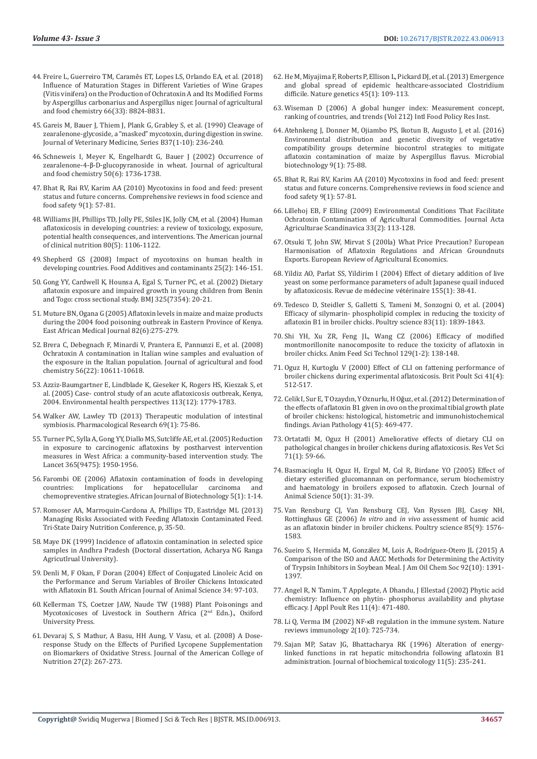- 44. [Freire L, Guerreiro TM, Caramês ET, Lopes LS, Orlando EA, et al. \(2018\)](https://pubmed.ncbi.nlm.nih.gov/30048130/)  [Influence of Maturation Stages in Different Varieties of Wine Grapes](https://pubmed.ncbi.nlm.nih.gov/30048130/)  [\(Vitis vinifera\) on the Production of Ochratoxin A and Its Modified Forms](https://pubmed.ncbi.nlm.nih.gov/30048130/)  [by Aspergillus carbonarius and Aspergillus niger. Journal of agricultural](https://pubmed.ncbi.nlm.nih.gov/30048130/)  [and food chemistry 66\(33\): 8824-8831.](https://pubmed.ncbi.nlm.nih.gov/30048130/)
- 45. Gareis M, Bauer J, Thiem J, Plank G, Grabley S, et al. (1990) Cleavage of zearalenone-glycoside, a "masked" mycotoxin, during digestion in swine. Journal of Veterinary Medicine, Series B37(1-10): 236-240.
- 46. [Schneweis I, Meyer K, Engelhardt G, Bauer J \(2002\) Occurrence of](https://pubmed.ncbi.nlm.nih.gov/11879067/)  zearalenone-4-β[-D-glucopyranoside in wheat. Journal of agricultural](https://pubmed.ncbi.nlm.nih.gov/11879067/)  [and food chemistry 50\(6\): 1736-1738.](https://pubmed.ncbi.nlm.nih.gov/11879067/)
- 47. [Bhat R, Rai RV, Karim AA \(2010\) Mycotoxins in food and feed: present](https://onlinelibrary.wiley.com/doi/full/10.1111/j.1541-4337.2009.00094.x)  [status and future concerns. Comprehensive reviews in food science and](https://onlinelibrary.wiley.com/doi/full/10.1111/j.1541-4337.2009.00094.x)  [food safety 9\(1\): 57-81.](https://onlinelibrary.wiley.com/doi/full/10.1111/j.1541-4337.2009.00094.x)
- 48. [Williams JH, Phillips TD, Jolly PE, Stiles JK, Jolly CM, et al. \(2004\) Human](https://pubmed.ncbi.nlm.nih.gov/15531656/)  [aflatoxicosis in developing countries: a review of toxicology, exposure,](https://pubmed.ncbi.nlm.nih.gov/15531656/)  [potential health consequences, and interventions. The American journal](https://pubmed.ncbi.nlm.nih.gov/15531656/)  [of clinical nutrition 80\(5\): 1106-1122.](https://pubmed.ncbi.nlm.nih.gov/15531656/)
- 49. [Shepherd GS \(2008\) Impact of mycotoxins on human health in](https://pubmed.ncbi.nlm.nih.gov/18286404/)  [developing countries. Food Additives and contaminants 25\(2\): 146-151.](https://pubmed.ncbi.nlm.nih.gov/18286404/)
- 50. [Gong YY, Cardwell K, Hounsa A, Egal S, Turner PC, et al. \(2002\) Dietary](https://pubmed.ncbi.nlm.nih.gov/12098724/)  [aflatoxin exposure and impaired growth in young children from Benin](https://pubmed.ncbi.nlm.nih.gov/12098724/)  [and Togo: cross sectional study. BMJ 325\(7354\): 20-21.](https://pubmed.ncbi.nlm.nih.gov/12098724/)
- 51. [Muture BN, Ogana G \(2005\) Aflatoxin levels in maize and maize products](https://pubmed.ncbi.nlm.nih.gov/16175776/)  [during the 2004 food poisoning outbreak in Eastern Province of Kenya.](https://pubmed.ncbi.nlm.nih.gov/16175776/)  [East African Medical Journal 82\(6\):275-279.](https://pubmed.ncbi.nlm.nih.gov/16175776/)
- 52. [Brera C, Debegnach F, Minardi V, Prantera E, Pannunzi E, et al. \(2008\)](https://agris.fao.org/agris-search/search.do?recordID=US201301570917)  [Ochratoxin A contamination in Italian wine samples and evaluation of](https://agris.fao.org/agris-search/search.do?recordID=US201301570917)  [the exposure in the Italian population. Journal of agricultural and food](https://agris.fao.org/agris-search/search.do?recordID=US201301570917)  [chemistry 56\(22\): 10611-10618.](https://agris.fao.org/agris-search/search.do?recordID=US201301570917)
- 53. [Azziz-Baumgartner E, Lindblade K, Gieseker K, Rogers HS, Kieszak S, et](https://pubmed.ncbi.nlm.nih.gov/16330363/)  [al. \(2005\) Case- control study of an acute aflatoxicosis outbreak, Kenya,](https://pubmed.ncbi.nlm.nih.gov/16330363/)  [2004. Environmental health perspectives 113\(12\): 1779-1783.](https://pubmed.ncbi.nlm.nih.gov/16330363/)
- 54. [Walker AW, Lawley TD \(2013\) Therapeutic modulation of intestinal](https://pubmed.ncbi.nlm.nih.gov/23017673/)  [symbiosis. Pharmacological Research 69\(1\): 75-86.](https://pubmed.ncbi.nlm.nih.gov/23017673/)
- 55. [Turner PC, Sylla A, Gong YY, Diallo MS, Sutcliffe AE, et al. \(2005\) Reduction](https://pubmed.ncbi.nlm.nih.gov/15936422/)  [in exposure to carcinogenic aflatoxins by postharvest intervention](https://pubmed.ncbi.nlm.nih.gov/15936422/)  [measures in West Africa: a community-based intervention study. The](https://pubmed.ncbi.nlm.nih.gov/15936422/)  [Lancet 365\(9475\): 1950-1956.](https://pubmed.ncbi.nlm.nih.gov/15936422/)
- 56. [Farombi OE \(2006\) Aflatoxin contamination of foods in developing](https://www.ajol.info/index.php/ajb/article/view/137715)  countries: Implications for hepatocellular carcinoma [chemopreventive strategies. African Journal of Biotechnology 5\(1\): 1-14.](https://www.ajol.info/index.php/ajb/article/view/137715)
- 57. Romoser AA, Marroquin-Cardona A, Phillips TD, Eastridge ML (2013) Managing Risks Associated with Feeding Aflatoxin Contaminated Feed. Tri-State Dairy Nutrition Conference, p, 35-50.
- 58. Maye DK (1999) Incidence of aflatoxin contamination in selected spice samples in Andhra Pradesh (Doctoral dissertation, Acharya NG Ranga Agricutlrual University).
- 59. [Denli M, F Okan, F Doran \(2004\) Effect of Conjugated Linoleic Acid on](https://www.ajol.info/index.php/sajas/article/view/3812)  [the Performance and Serum Variables of Broiler Chickens Intoxicated](https://www.ajol.info/index.php/sajas/article/view/3812)  [with Aflatoxin B1. South African Journal of Animal Science 34: 97-103.](https://www.ajol.info/index.php/sajas/article/view/3812)
- 60. Kellerman TS, Coetzer JAW, Naude TW (1988) Plant Poisonings and Mycotoxicoses of Livestock in Southern Africa (2<sup>nd</sup> Edn.)., Oxiford University Press.
- 61. Devaraj S, S Mathur, A Basu, HH Aung, V Vasu, et al. (2008) A Doseresponse Study on the Effects of Purified Lycopene Supplementation on Biomarkers of Oxidative Stress. Journal of the American College of Nutrition 27(2): 267-273.
- 62. [He M, Miyajima F, Roberts P, Ellison L, Pickard DJ, et al. \(2013\) Emergence](https://pubmed.ncbi.nlm.nih.gov/23222960/) [and global spread of epidemic healthcare-associated Clostridium](https://pubmed.ncbi.nlm.nih.gov/23222960/) [difficile. Nature genetics 45\(1\): 109-113.](https://pubmed.ncbi.nlm.nih.gov/23222960/)
- 63. Wiseman D (2006) A global hunger index: Measurement concept, ranking of countries, and trends (Vol 212) Intl Food Policy Res Inst.
- 64. [Atehnkeng J, Donner M, Ojiambo PS, Ikotun B, Augusto J, et al. \(2016\)](https://pubmed.ncbi.nlm.nih.gov/26503309/) [Environmental distribution and genetic diversity of vegetative](https://pubmed.ncbi.nlm.nih.gov/26503309/) [compatibility groups determine biocontrol strategies to mitigate](https://pubmed.ncbi.nlm.nih.gov/26503309/) [aflatoxin contamination of maize by Aspergillus flavus. Microbial](https://pubmed.ncbi.nlm.nih.gov/26503309/) [biotechnology 9\(1\): 75-88.](https://pubmed.ncbi.nlm.nih.gov/26503309/)
- 65. [Bhat R, Rai RV, Karim AA \(2010\) Mycotoxins in food and feed: present](https://ift.onlinelibrary.wiley.com/doi/abs/10.1111/j.1541-4337.2009.00094.x) [status and future concerns. Comprehensive reviews in food science and](https://ift.onlinelibrary.wiley.com/doi/abs/10.1111/j.1541-4337.2009.00094.x) [food safety 9\(1\): 57-81.](https://ift.onlinelibrary.wiley.com/doi/abs/10.1111/j.1541-4337.2009.00094.x)
- 66. [Lillehoj EB, F Elling \(2009\) Environmental Conditions That Facilitate](https://www.tandfonline.com/doi/abs/10.1080/00015128309435357) [Ochratoxin Contamination of Agricultural Commodities. Journal Acta](https://www.tandfonline.com/doi/abs/10.1080/00015128309435357) [Agriculturae Scandinavica 33\(2\): 113-128.](https://www.tandfonline.com/doi/abs/10.1080/00015128309435357)
- 67. Otsuki T, John SW, Mirvat S (200la) What Price Precaution? European Harmonisation of Aflatoxin Regulations and African Groundnuts Exports. European Review of Agricultural Economics.
- 68. [Yildiz AO, Parlat SS, Yildirim I \(2004\) Effect of dietary addition of live](https://agris.fao.org/agris-search/search.do?recordID=FR2004000433) [yeast on some performance parameters of adult Japanese quail induced](https://agris.fao.org/agris-search/search.do?recordID=FR2004000433) [by aflatoxicosis. Revue de m](https://agris.fao.org/agris-search/search.do?recordID=FR2004000433)édecine vétérinaire 155(1): 38-41.
- 69. [Tedesco D, Steidler S, Galletti S, Tameni M, Sonzogni O, et al. \(2004\)](https://pubmed.ncbi.nlm.nih.gov/15554059/) [Efficacy of silymarin- phospholipid complex in reducing the toxicity of](https://pubmed.ncbi.nlm.nih.gov/15554059/) [aflatoxin B1 in broiler chicks. Poultry science 83\(11\): 1839-1843.](https://pubmed.ncbi.nlm.nih.gov/15554059/)
- 70. [Shi YH, Xu ZR, Feng JL, Wang CZ \(2006\) Efficacy of modified](https://www.researchgate.net/publication/248333077_Efficacy_of_modified_montmorillonite_nanocomposite_to_reduce_the_toxicity_of_aflatoxin_in_broiler_chicks) [montmorillonite nanocomposite to reduce the toxicity of aflatoxin in](https://www.researchgate.net/publication/248333077_Efficacy_of_modified_montmorillonite_nanocomposite_to_reduce_the_toxicity_of_aflatoxin_in_broiler_chicks) [broiler chicks. Anim Feed Sci Technol 129\(1-2\): 138-148.](https://www.researchgate.net/publication/248333077_Efficacy_of_modified_montmorillonite_nanocomposite_to_reduce_the_toxicity_of_aflatoxin_in_broiler_chicks)
- 71. [Oguz H, Kurtoglu V \(2000\) Effect of CLI on fattening performance of](https://pubmed.ncbi.nlm.nih.gov/11225564/) [broiler chickens during experimental aflatoxicosis. Brit Poult Sci 41\(4\):](https://pubmed.ncbi.nlm.nih.gov/11225564/) [512-517.](https://pubmed.ncbi.nlm.nih.gov/11225564/)
- 72. [Celik I, Sur E, T Ozaydın, Y Oznurlu, H O](https://pubmed.ncbi.nlm.nih.gov/22974164/)ğuz, et al. (2012) Determination of [the effects of aflatoxin B1 given in ovo on the proximal tibial growth plate](https://pubmed.ncbi.nlm.nih.gov/22974164/) [of broiler chickens: histological, histometric and immunohistochemical](https://pubmed.ncbi.nlm.nih.gov/22974164/) [findings. Avian Pathology 41\(5\): 469-477.](https://pubmed.ncbi.nlm.nih.gov/22974164/)
- 73. [Ortatatli M, Oguz H \(2001\) Ameliorative effects of dietary CLI on](https://pubmed.ncbi.nlm.nih.gov/11666149/) [pathological changes in broiler chickens during aflatoxicosis. Res Vet Sci](https://pubmed.ncbi.nlm.nih.gov/11666149/) [71\(1\): 59-66.](https://pubmed.ncbi.nlm.nih.gov/11666149/)
- 74. [Basmacioglu H, Oguz H, Ergul M, Col R, Birdane YO \(2005\) Effect of](https://www.agriculturejournals.cz/publicFiles/52513.pdf) [dietary esterified glucomannan on performance, serum biochemistry](https://www.agriculturejournals.cz/publicFiles/52513.pdf) [and haematology in broilers exposed to aflatoxin. Czech Journal of](https://www.agriculturejournals.cz/publicFiles/52513.pdf) [Animal Science 50\(1\): 31-39.](https://www.agriculturejournals.cz/publicFiles/52513.pdf)
- 75. [Van Rensburg CJ, Van Rensburg CEJ, Van Ryssen JBJ, Casey NH,](https://pubmed.ncbi.nlm.nih.gov/16977843/) Rottinghaus GE (2006) *In vitro* and *in vivo* [assessment of humic acid](https://pubmed.ncbi.nlm.nih.gov/16977843/) [as an aflatoxin binder in broiler chickens. Poultry science 85\(9\): 1576-](https://pubmed.ncbi.nlm.nih.gov/16977843/) [1583.](https://pubmed.ncbi.nlm.nih.gov/16977843/)
- 76. [Sueiro S, Hermida M, Gonz](https://agris.fao.org/agris-search/search.do?recordID=US201600006367)ález M, Lois A, Rodríguez-Otero JL (2015) A [Comparison of the ISO and AACC Methods for Determining the Activity](https://agris.fao.org/agris-search/search.do?recordID=US201600006367) [of Trypsin Inhibitors in Soybean Meal. J Am Oil Chem Soc 92\(10\): 1391-](https://agris.fao.org/agris-search/search.do?recordID=US201600006367) [1397.](https://agris.fao.org/agris-search/search.do?recordID=US201600006367)
- 77. [Angel R, N Tamim, T Applegate, A Dhandu, J Ellestad \(2002\) Phytic acid](https://www.sciencedirect.com/science/article/pii/S1056617119314965) [chemistry: Influence on phytin- phosphorus availability and phytase](https://www.sciencedirect.com/science/article/pii/S1056617119314965) [efficacy. J Appl Poult Res 11\(4\): 471-480.](https://www.sciencedirect.com/science/article/pii/S1056617119314965)
- 78. Li Q, Verma IM (2002) NF-κ[B regulation in the immune system. Nature](https://pubmed.ncbi.nlm.nih.gov/12360211/) [reviews immunology 2\(10\): 725-734.](https://pubmed.ncbi.nlm.nih.gov/12360211/)
- 79. [Sajan MP, Satav JG, Bhattacharya RK \(1996\) Alteration of energy](https://pubmed.ncbi.nlm.nih.gov/9110245/)[linked functions in rat hepatic mitochondria following aflatoxin B1](https://pubmed.ncbi.nlm.nih.gov/9110245/) [administration. Journal of biochemical toxicology 11\(5\): 235-241.](https://pubmed.ncbi.nlm.nih.gov/9110245/)